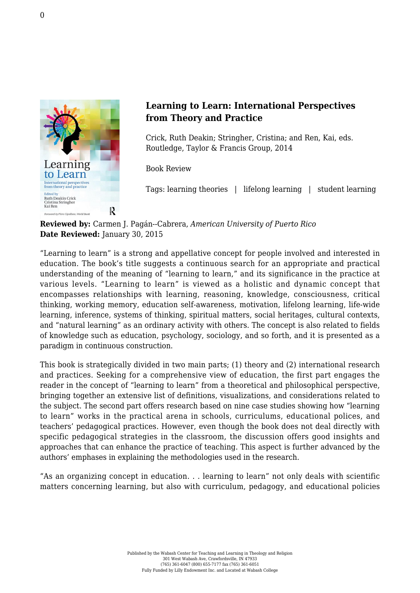

## **Learning to Learn: International Perspectives from Theory and Practice**

Crick, Ruth Deakin; Stringher, Cristina; and Ren, Kai, eds. [Routledge, Taylor & Francis Group, 2014](http://www.routledge.com/books/details/9780415656245/)

Book Review

Tags: learning theories | lifelong learning | student learning

**Reviewed by:** Carmen J. Pagán--Cabrera, *American University of Puerto Rico* **Date Reviewed:** January 30, 2015

"Learning to learn" is a strong and appellative concept for people involved and interested in education. The book's title suggests a continuous search for an appropriate and practical understanding of the meaning of "learning to learn," and its significance in the practice at various levels. "Learning to learn" is viewed as a holistic and dynamic concept that encompasses relationships with learning, reasoning, knowledge, consciousness, critical thinking, working memory, education self-awareness, motivation, lifelong learning, life-wide learning, inference, systems of thinking, spiritual matters, social heritages, cultural contexts, and "natural learning" as an ordinary activity with others. The concept is also related to fields of knowledge such as education, psychology, sociology, and so forth, and it is presented as a paradigm in continuous construction.

This book is strategically divided in two main parts; (1) theory and (2) international research and practices. Seeking for a comprehensive view of education, the first part engages the reader in the concept of "learning to learn" from a theoretical and philosophical perspective, bringing together an extensive list of definitions, visualizations, and considerations related to the subject. The second part offers research based on nine case studies showing how "learning to learn" works in the practical arena in schools, curriculums, educational polices, and teachers' pedagogical practices. However, even though the book does not deal directly with specific pedagogical strategies in the classroom, the discussion offers good insights and approaches that can enhance the practice of teaching. This aspect is further advanced by the authors' emphases in explaining the methodologies used in the research.

"As an organizing concept in education. . . learning to learn" not only deals with scientific matters concerning learning, but also with curriculum, pedagogy, and educational policies